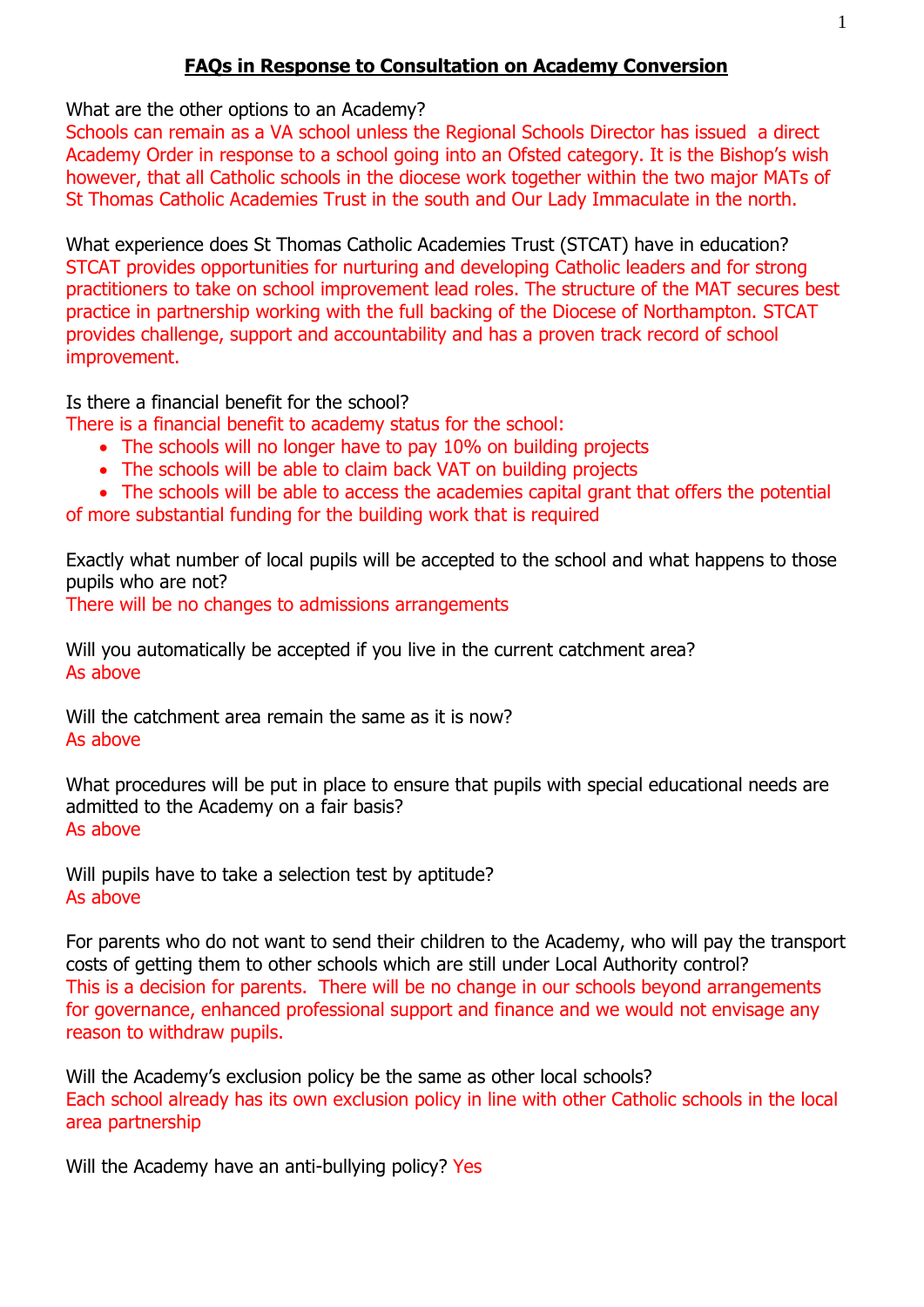## **FAQs in Response to Consultation on Academy Conversion**

What are the other options to an Academy?

Schools can remain as a VA school unless the Regional Schools Director has issued a direct Academy Order in response to a school going into an Ofsted category. It is the Bishop's wish however, that all Catholic schools in the diocese work together within the two major MATs of St Thomas Catholic Academies Trust in the south and Our Lady Immaculate in the north.

What experience does St Thomas Catholic Academies Trust (STCAT) have in education? STCAT provides opportunities for nurturing and developing Catholic leaders and for strong practitioners to take on school improvement lead roles. The structure of the MAT secures best practice in partnership working with the full backing of the Diocese of Northampton. STCAT provides challenge, support and accountability and has a proven track record of school improvement.

Is there a financial benefit for the school?

There is a financial benefit to academy status for the school:

- The schools will no longer have to pay 10% on building projects
- The schools will be able to claim back VAT on building projects
- The schools will be able to access the academies capital grant that offers the potential

of more substantial funding for the building work that is required

Exactly what number of local pupils will be accepted to the school and what happens to those pupils who are not?

There will be no changes to admissions arrangements

Will you automatically be accepted if you live in the current catchment area? As above

Will the catchment area remain the same as it is now? As above

What procedures will be put in place to ensure that pupils with special educational needs are admitted to the Academy on a fair basis? As above

Will pupils have to take a selection test by aptitude? As above

For parents who do not want to send their children to the Academy, who will pay the transport costs of getting them to other schools which are still under Local Authority control? This is a decision for parents. There will be no change in our schools beyond arrangements for governance, enhanced professional support and finance and we would not envisage any reason to withdraw pupils.

Will the Academy's exclusion policy be the same as other local schools? Each school already has its own exclusion policy in line with other Catholic schools in the local area partnership

Will the Academy have an anti-bullying policy? Yes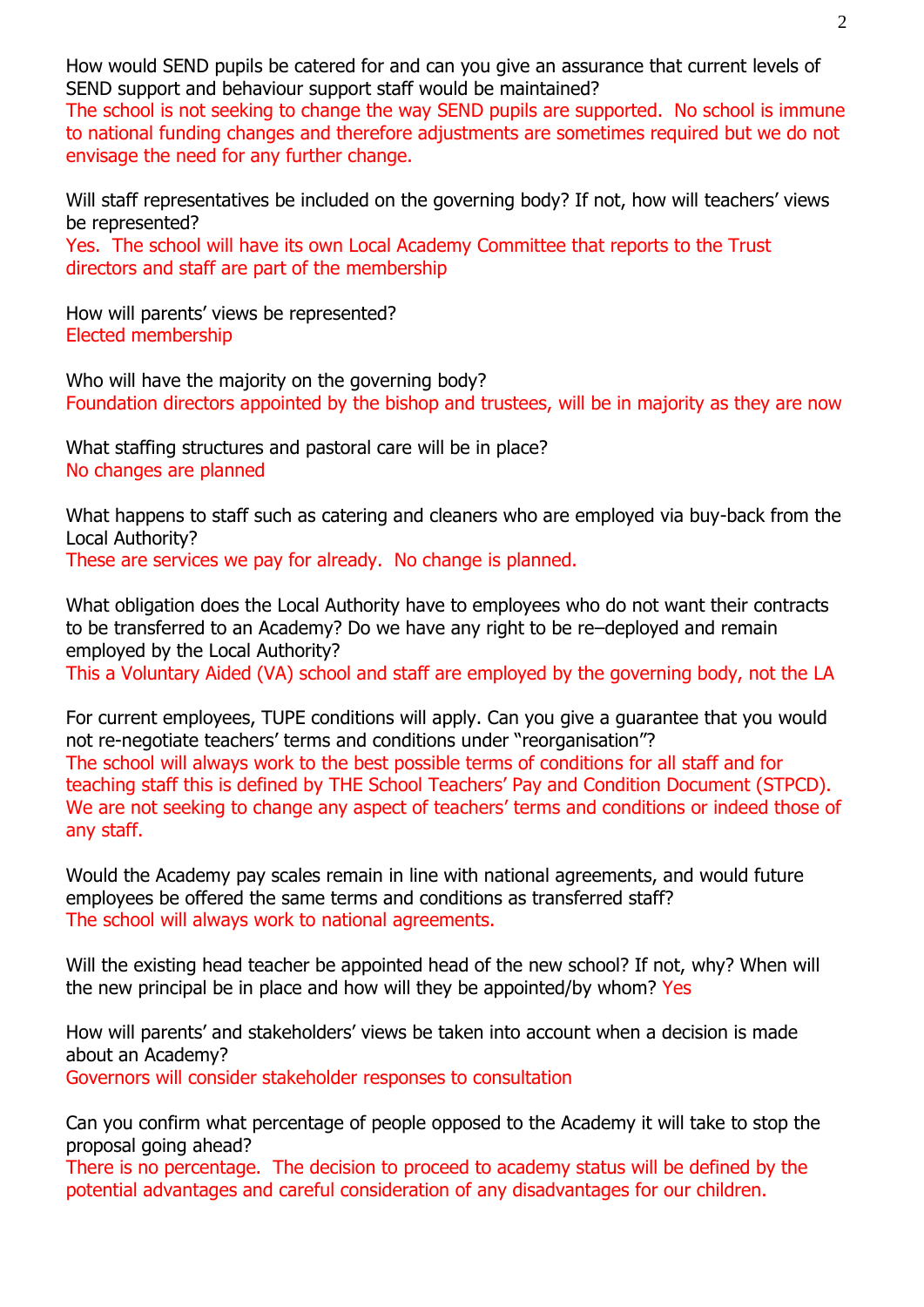How would SEND pupils be catered for and can you give an assurance that current levels of SEND support and behaviour support staff would be maintained?

The school is not seeking to change the way SEND pupils are supported. No school is immune to national funding changes and therefore adjustments are sometimes required but we do not envisage the need for any further change.

Will staff representatives be included on the governing body? If not, how will teachers' views be represented?

Yes. The school will have its own Local Academy Committee that reports to the Trust directors and staff are part of the membership

How will parents' views be represented? Elected membership

Who will have the majority on the governing body? Foundation directors appointed by the bishop and trustees, will be in majority as they are now

What staffing structures and pastoral care will be in place? No changes are planned

What happens to staff such as catering and cleaners who are employed via buy-back from the Local Authority?

These are services we pay for already. No change is planned.

What obligation does the Local Authority have to employees who do not want their contracts to be transferred to an Academy? Do we have any right to be re–deployed and remain employed by the Local Authority? This a Voluntary Aided (VA) school and staff are employed by the governing body, not the LA

For current employees, TUPE conditions will apply. Can you give a guarantee that you would not re-negotiate teachers' terms and conditions under "reorganisation"? The school will always work to the best possible terms of conditions for all staff and for teaching staff this is defined by THE School Teachers' Pay and Condition Document (STPCD). We are not seeking to change any aspect of teachers' terms and conditions or indeed those of any staff.

Would the Academy pay scales remain in line with national agreements, and would future employees be offered the same terms and conditions as transferred staff? The school will always work to national agreements.

Will the existing head teacher be appointed head of the new school? If not, why? When will the new principal be in place and how will they be appointed/by whom? Yes

How will parents' and stakeholders' views be taken into account when a decision is made about an Academy?

Governors will consider stakeholder responses to consultation

Can you confirm what percentage of people opposed to the Academy it will take to stop the proposal going ahead?

There is no percentage. The decision to proceed to academy status will be defined by the potential advantages and careful consideration of any disadvantages for our children.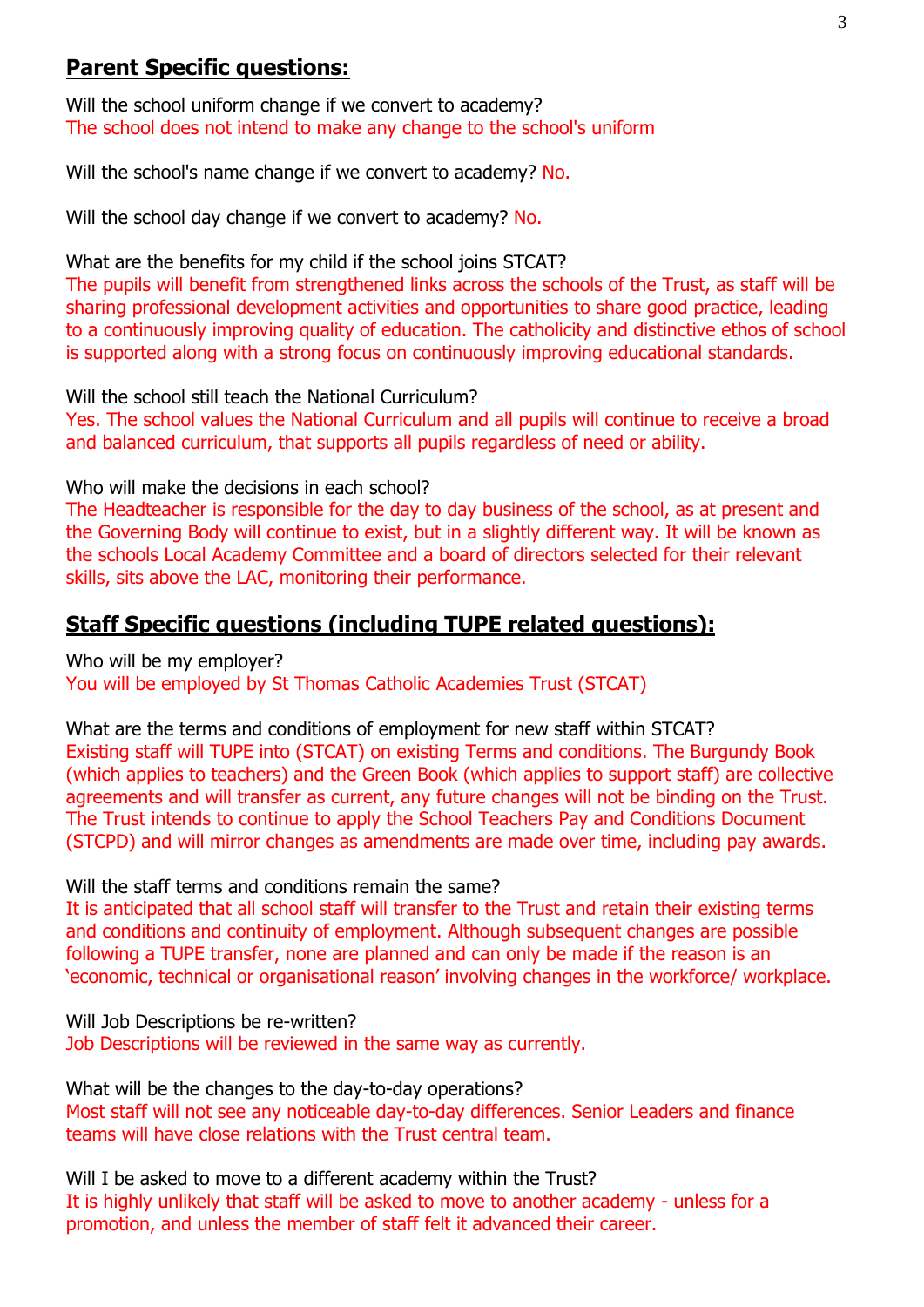# **Parent Specific questions:**

Will the school uniform change if we convert to academy? The school does not intend to make any change to the school's uniform

Will the school's name change if we convert to academy? No.

Will the school day change if we convert to academy? No.

What are the benefits for my child if the school joins STCAT?

The pupils will benefit from strengthened links across the schools of the Trust, as staff will be sharing professional development activities and opportunities to share good practice, leading to a continuously improving quality of education. The catholicity and distinctive ethos of school is supported along with a strong focus on continuously improving educational standards.

Will the school still teach the National Curriculum?

Yes. The school values the National Curriculum and all pupils will continue to receive a broad and balanced curriculum, that supports all pupils regardless of need or ability.

Who will make the decisions in each school?

The Headteacher is responsible for the day to day business of the school, as at present and the Governing Body will continue to exist, but in a slightly different way. It will be known as the schools Local Academy Committee and a board of directors selected for their relevant skills, sits above the LAC, monitoring their performance.

## **Staff Specific questions (including TUPE related questions):**

Who will be my employer?

You will be employed by St Thomas Catholic Academies Trust (STCAT)

What are the terms and conditions of employment for new staff within STCAT? Existing staff will TUPE into (STCAT) on existing Terms and conditions. The Burgundy Book (which applies to teachers) and the Green Book (which applies to support staff) are collective agreements and will transfer as current, any future changes will not be binding on the Trust. The Trust intends to continue to apply the School Teachers Pay and Conditions Document (STCPD) and will mirror changes as amendments are made over time, including pay awards.

Will the staff terms and conditions remain the same?

It is anticipated that all school staff will transfer to the Trust and retain their existing terms and conditions and continuity of employment. Although subsequent changes are possible following a TUPE transfer, none are planned and can only be made if the reason is an 'economic, technical or organisational reason' involving changes in the workforce/ workplace.

Will Job Descriptions be re-written? Job Descriptions will be reviewed in the same way as currently.

What will be the changes to the day-to-day operations? Most staff will not see any noticeable day-to-day differences. Senior Leaders and finance teams will have close relations with the Trust central team.

Will I be asked to move to a different academy within the Trust? It is highly unlikely that staff will be asked to move to another academy - unless for a promotion, and unless the member of staff felt it advanced their career.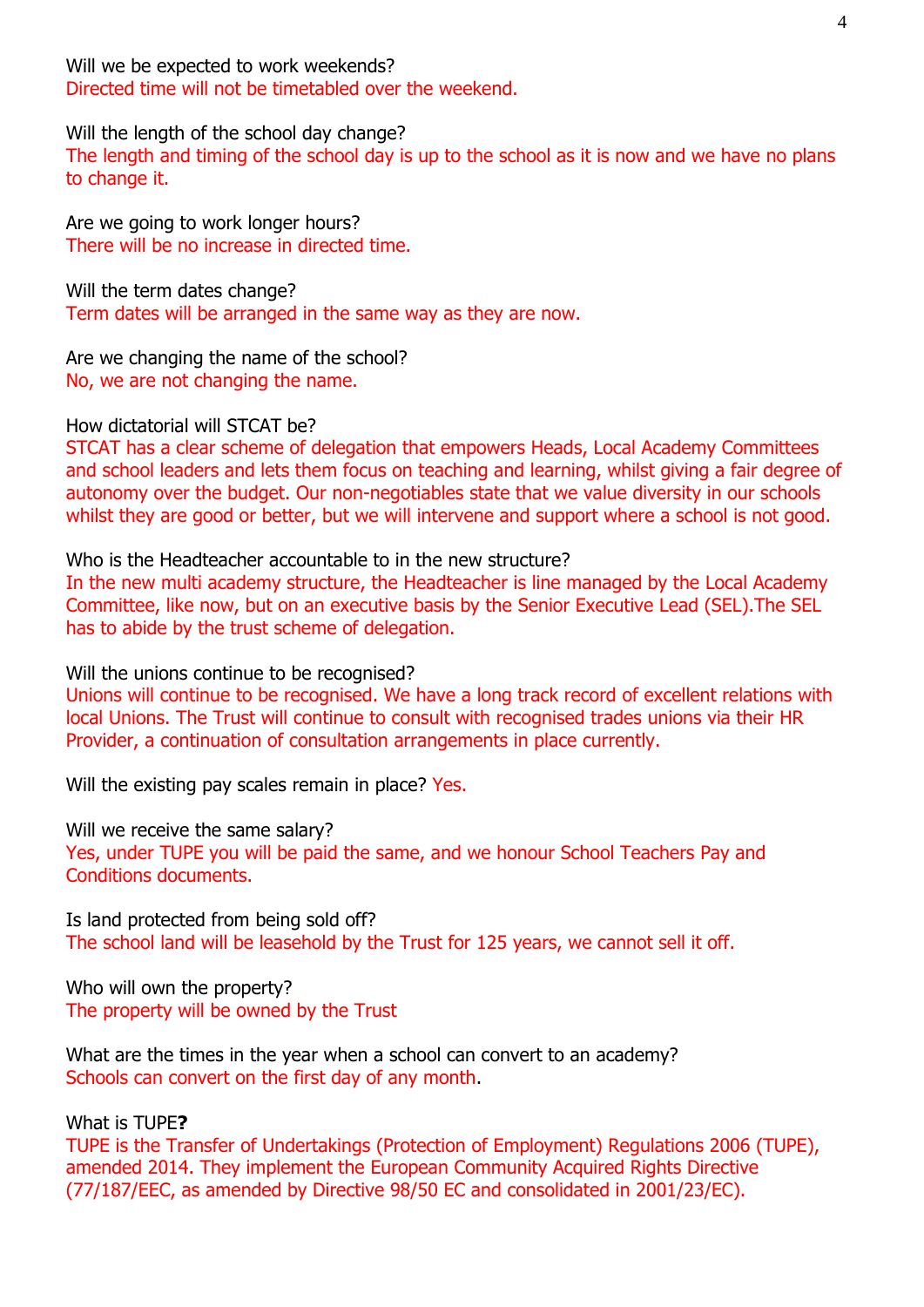Will we be expected to work weekends? Directed time will not be timetabled over the weekend.

Will the length of the school day change?

The length and timing of the school day is up to the school as it is now and we have no plans to change it.

Are we going to work longer hours? There will be no increase in directed time.

Will the term dates change? Term dates will be arranged in the same way as they are now.

Are we changing the name of the school? No, we are not changing the name.

How dictatorial will STCAT be?

STCAT has a clear scheme of delegation that empowers Heads, Local Academy Committees and school leaders and lets them focus on teaching and learning, whilst giving a fair degree of autonomy over the budget. Our non-negotiables state that we value diversity in our schools whilst they are good or better, but we will intervene and support where a school is not good.

### Who is the Headteacher accountable to in the new structure?

In the new multi academy structure, the Headteacher is line managed by the Local Academy Committee, like now, but on an executive basis by the Senior Executive Lead (SEL).The SEL has to abide by the trust scheme of delegation.

Will the unions continue to be recognised?

Unions will continue to be recognised. We have a long track record of excellent relations with local Unions. The Trust will continue to consult with recognised trades unions via their HR Provider, a continuation of consultation arrangements in place currently.

Will the existing pay scales remain in place? Yes.

Will we receive the same salary?

Yes, under TUPE you will be paid the same, and we honour School Teachers Pay and Conditions documents.

Is land protected from being sold off? The school land will be leasehold by the Trust for 125 years, we cannot sell it off.

Who will own the property? The property will be owned by the Trust

What are the times in the year when a school can convert to an academy? Schools can convert on the first day of any month.

What is TUPE**?**

TUPE is the Transfer of Undertakings (Protection of Employment) Regulations 2006 (TUPE), amended 2014. They implement the European Community Acquired Rights Directive (77/187/EEC, as amended by Directive 98/50 EC and consolidated in 2001/23/EC).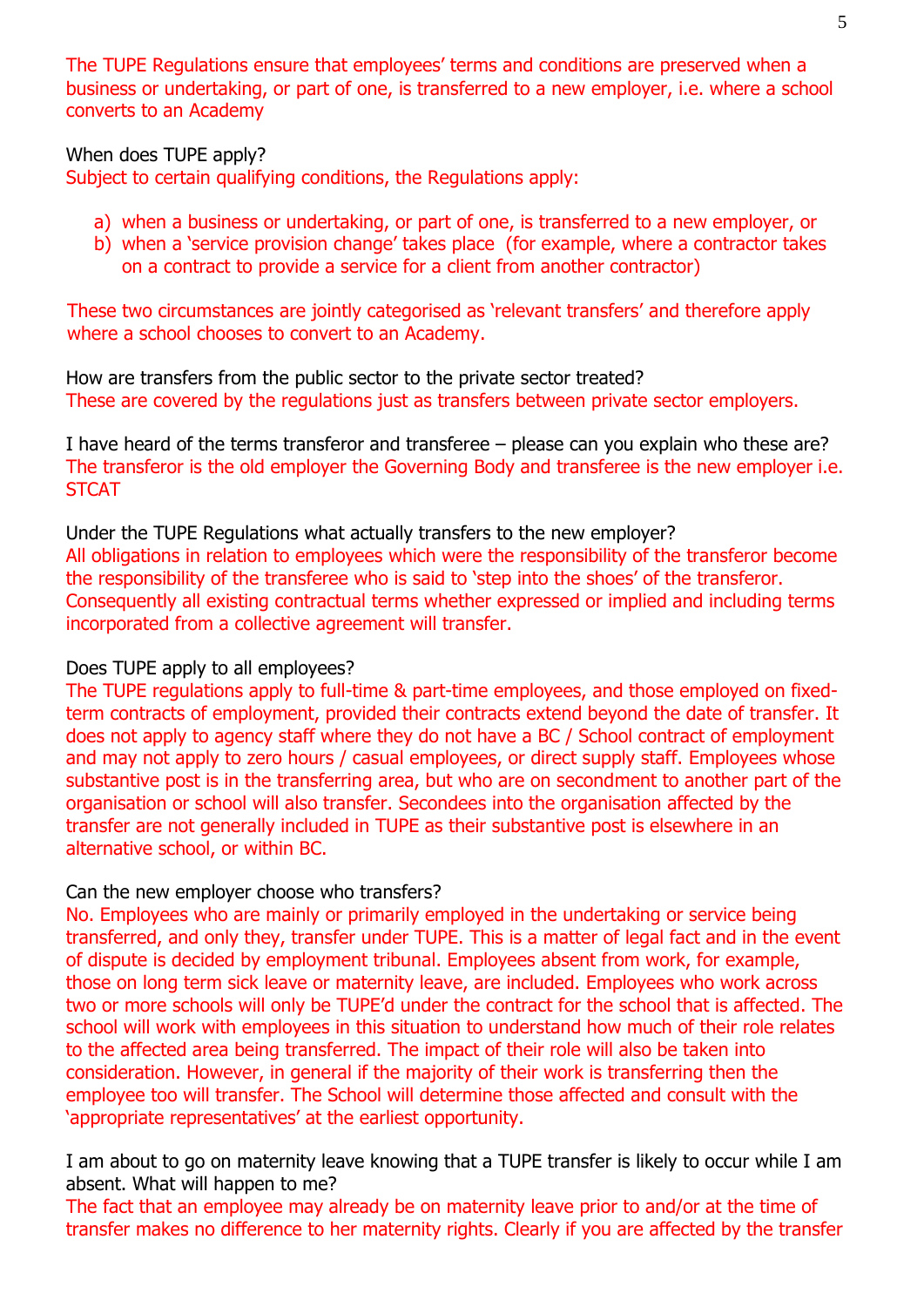The TUPE Regulations ensure that employees' terms and conditions are preserved when a business or undertaking, or part of one, is transferred to a new employer, i.e. where a school converts to an Academy

When does TUPE apply?

Subject to certain qualifying conditions, the Regulations apply:

- a) when a business or undertaking, or part of one, is transferred to a new employer, or
- b) when a 'service provision change' takes place (for example, where a contractor takes on a contract to provide a service for a client from another contractor)

These two circumstances are jointly categorised as 'relevant transfers' and therefore apply where a school chooses to convert to an Academy.

How are transfers from the public sector to the private sector treated? These are covered by the regulations just as transfers between private sector employers.

I have heard of the terms transferor and transferee – please can you explain who these are? The transferor is the old employer the Governing Body and transferee is the new employer i.e. **STCAT** 

Under the TUPE Regulations what actually transfers to the new employer? All obligations in relation to employees which were the responsibility of the transferor become the responsibility of the transferee who is said to 'step into the shoes' of the transferor. Consequently all existing contractual terms whether expressed or implied and including terms incorporated from a collective agreement will transfer.

## Does TUPE apply to all employees?

The TUPE regulations apply to full-time & part-time employees, and those employed on fixedterm contracts of employment, provided their contracts extend beyond the date of transfer. It does not apply to agency staff where they do not have a BC / School contract of employment and may not apply to zero hours / casual employees, or direct supply staff. Employees whose substantive post is in the transferring area, but who are on secondment to another part of the organisation or school will also transfer. Secondees into the organisation affected by the transfer are not generally included in TUPE as their substantive post is elsewhere in an alternative school, or within BC.

#### Can the new employer choose who transfers?

No. Employees who are mainly or primarily employed in the undertaking or service being transferred, and only they, transfer under TUPE. This is a matter of legal fact and in the event of dispute is decided by employment tribunal. Employees absent from work, for example, those on long term sick leave or maternity leave, are included. Employees who work across two or more schools will only be TUPE'd under the contract for the school that is affected. The school will work with employees in this situation to understand how much of their role relates to the affected area being transferred. The impact of their role will also be taken into consideration. However, in general if the majority of their work is transferring then the employee too will transfer. The School will determine those affected and consult with the 'appropriate representatives' at the earliest opportunity.

I am about to go on maternity leave knowing that a TUPE transfer is likely to occur while I am absent. What will happen to me?

The fact that an employee may already be on maternity leave prior to and/or at the time of transfer makes no difference to her maternity rights. Clearly if you are affected by the transfer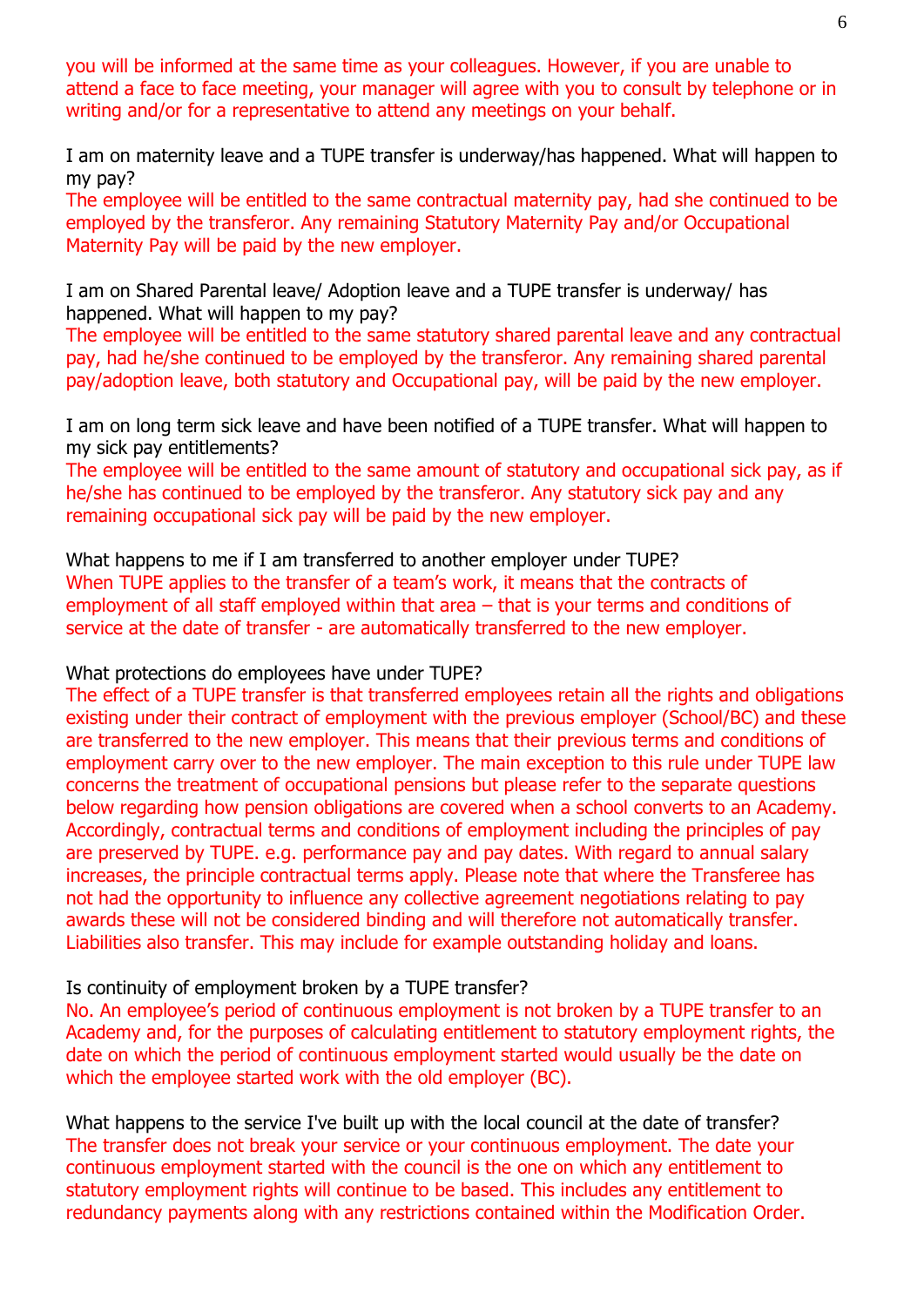you will be informed at the same time as your colleagues. However, if you are unable to attend a face to face meeting, your manager will agree with you to consult by telephone or in writing and/or for a representative to attend any meetings on your behalf.

I am on maternity leave and a TUPE transfer is underway/has happened. What will happen to my pay?

The employee will be entitled to the same contractual maternity pay, had she continued to be employed by the transferor. Any remaining Statutory Maternity Pay and/or Occupational Maternity Pay will be paid by the new employer.

I am on Shared Parental leave/ Adoption leave and a TUPE transfer is underway/ has happened. What will happen to my pay?

The employee will be entitled to the same statutory shared parental leave and any contractual pay, had he/she continued to be employed by the transferor. Any remaining shared parental pay/adoption leave, both statutory and Occupational pay, will be paid by the new employer.

I am on long term sick leave and have been notified of a TUPE transfer. What will happen to my sick pay entitlements?

The employee will be entitled to the same amount of statutory and occupational sick pay, as if he/she has continued to be employed by the transferor. Any statutory sick pay and any remaining occupational sick pay will be paid by the new employer.

What happens to me if I am transferred to another employer under TUPE? When TUPE applies to the transfer of a team's work, it means that the contracts of employment of all staff employed within that area – that is your terms and conditions of service at the date of transfer - are automatically transferred to the new employer.

#### What protections do employees have under TUPE?

The effect of a TUPE transfer is that transferred employees retain all the rights and obligations existing under their contract of employment with the previous employer (School/BC) and these are transferred to the new employer. This means that their previous terms and conditions of employment carry over to the new employer. The main exception to this rule under TUPE law concerns the treatment of occupational pensions but please refer to the separate questions below regarding how pension obligations are covered when a school converts to an Academy. Accordingly, contractual terms and conditions of employment including the principles of pay are preserved by TUPE. e.g. performance pay and pay dates. With regard to annual salary increases, the principle contractual terms apply. Please note that where the Transferee has not had the opportunity to influence any collective agreement negotiations relating to pay awards these will not be considered binding and will therefore not automatically transfer. Liabilities also transfer. This may include for example outstanding holiday and loans.

#### Is continuity of employment broken by a TUPE transfer?

No. An employee's period of continuous employment is not broken by a TUPE transfer to an Academy and, for the purposes of calculating entitlement to statutory employment rights, the date on which the period of continuous employment started would usually be the date on which the employee started work with the old employer (BC).

What happens to the service I've built up with the local council at the date of transfer? The transfer does not break your service or your continuous employment. The date your continuous employment started with the council is the one on which any entitlement to statutory employment rights will continue to be based. This includes any entitlement to redundancy payments along with any restrictions contained within the Modification Order.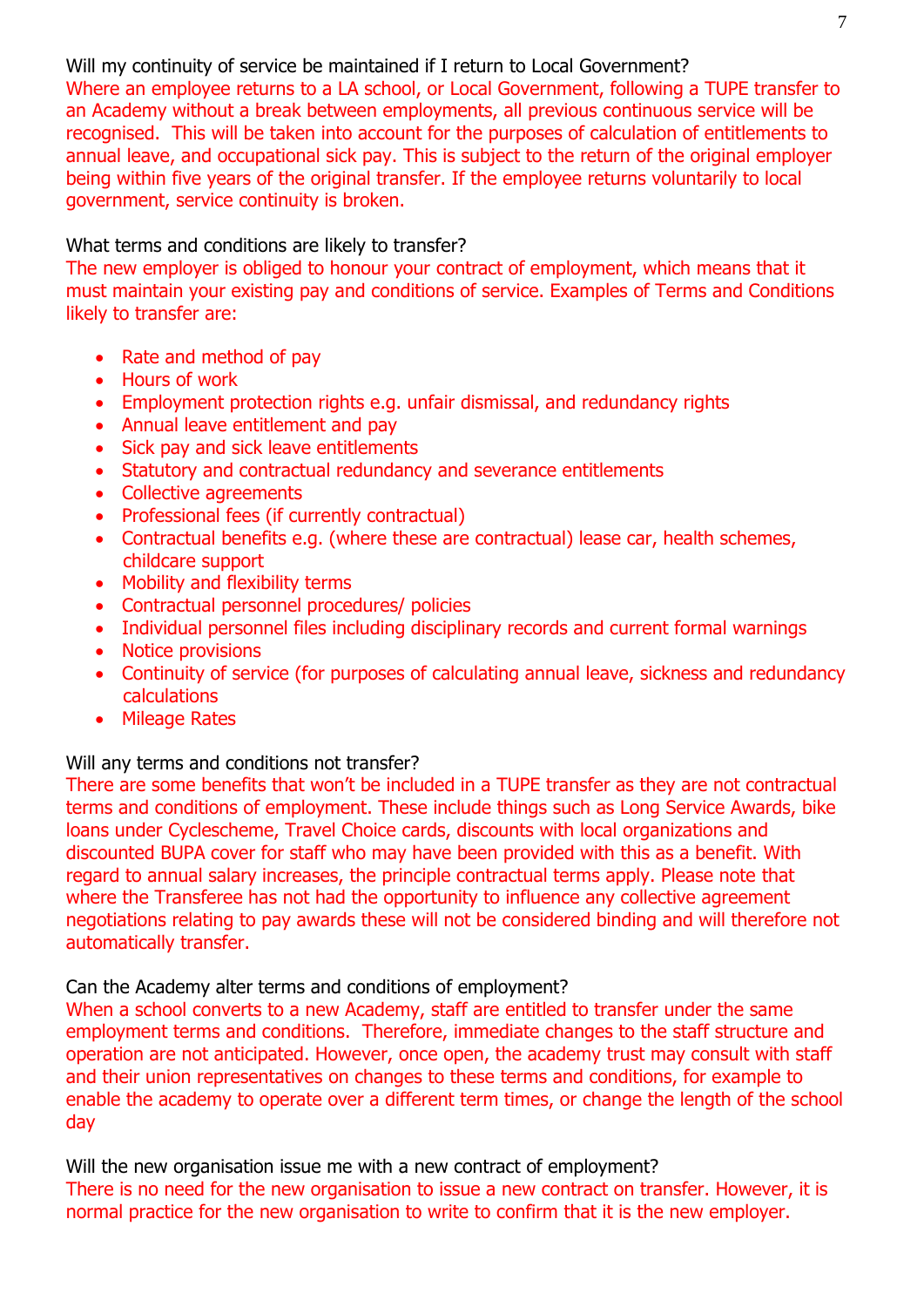Will my continuity of service be maintained if I return to Local Government?

Where an employee returns to a LA school, or Local Government, following a TUPE transfer to an Academy without a break between employments, all previous continuous service will be recognised. This will be taken into account for the purposes of calculation of entitlements to annual leave, and occupational sick pay. This is subject to the return of the original employer being within five years of the original transfer. If the employee returns voluntarily to local government, service continuity is broken.

What terms and conditions are likely to transfer?

The new employer is obliged to honour your contract of employment, which means that it must maintain your existing pay and conditions of service. Examples of Terms and Conditions likely to transfer are:

- Rate and method of pay
- Hours of work
- Employment protection rights e.g. unfair dismissal, and redundancy rights
- Annual leave entitlement and pay
- Sick pay and sick leave entitlements
- Statutory and contractual redundancy and severance entitlements
- Collective agreements
- Professional fees (if currently contractual)
- Contractual benefits e.g. (where these are contractual) lease car, health schemes, childcare support
- Mobility and flexibility terms
- Contractual personnel procedures/ policies
- Individual personnel files including disciplinary records and current formal warnings
- Notice provisions
- Continuity of service (for purposes of calculating annual leave, sickness and redundancy calculations
- Mileage Rates

#### Will any terms and conditions not transfer?

There are some benefits that won't be included in a TUPE transfer as they are not contractual terms and conditions of employment. These include things such as Long Service Awards, bike loans under Cyclescheme, Travel Choice cards, discounts with local organizations and discounted BUPA cover for staff who may have been provided with this as a benefit. With regard to annual salary increases, the principle contractual terms apply. Please note that where the Transferee has not had the opportunity to influence any collective agreement negotiations relating to pay awards these will not be considered binding and will therefore not automatically transfer.

#### Can the Academy alter terms and conditions of employment?

When a school converts to a new Academy, staff are entitled to transfer under the same employment terms and conditions. Therefore, immediate changes to the staff structure and operation are not anticipated. However, once open, the academy trust may consult with staff and their union representatives on changes to these terms and conditions, for example to enable the academy to operate over a different term times, or change the length of the school day

Will the new organisation issue me with a new contract of employment?

There is no need for the new organisation to issue a new contract on transfer. However, it is normal practice for the new organisation to write to confirm that it is the new employer.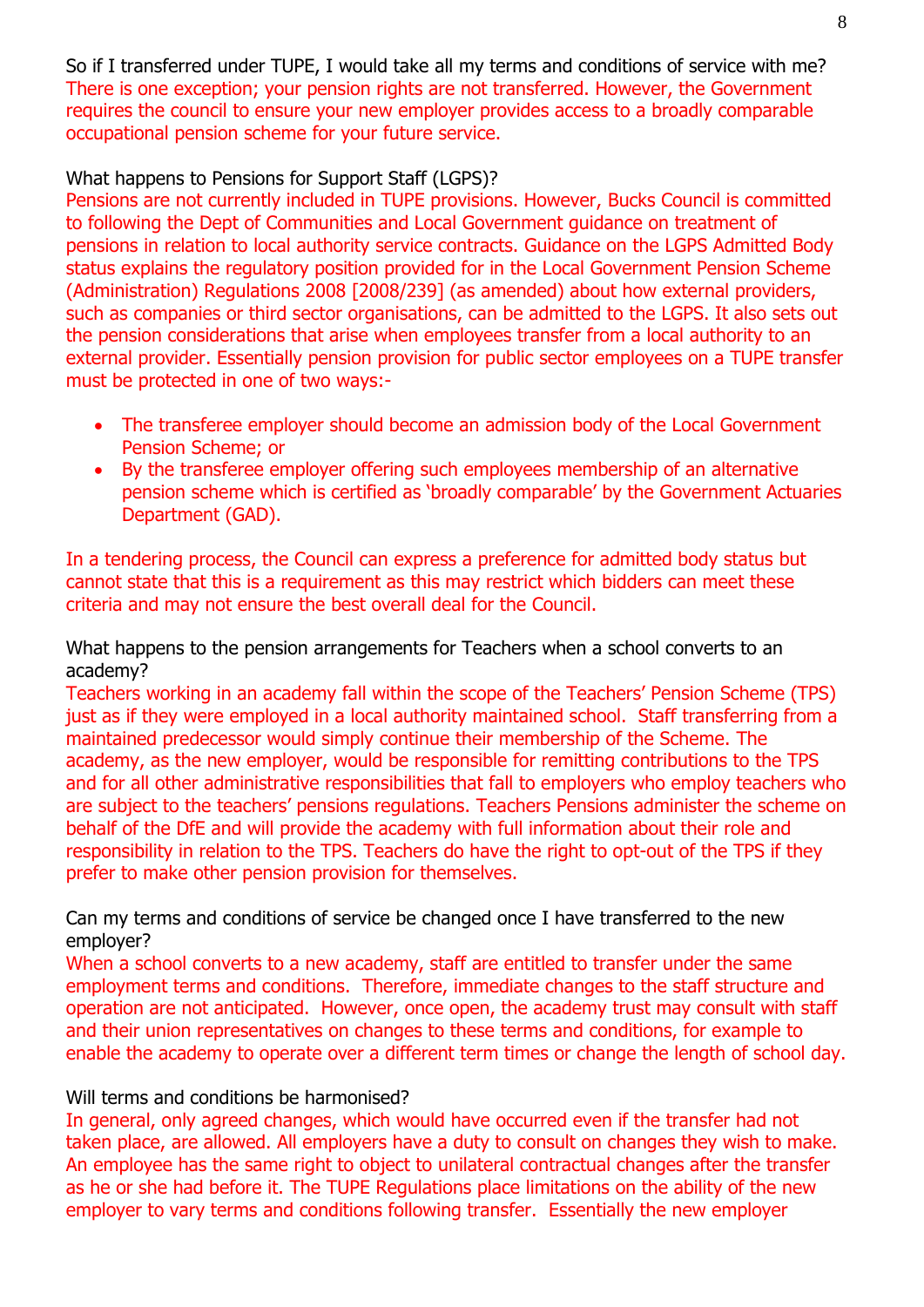So if I transferred under TUPE, I would take all my terms and conditions of service with me? There is one exception; your pension rights are not transferred. However, the Government requires the council to ensure your new employer provides access to a broadly comparable occupational pension scheme for your future service.

### What happens to Pensions for Support Staff (LGPS)?

Pensions are not currently included in TUPE provisions. However, Bucks Council is committed to following the Dept of Communities and Local Government guidance on treatment of pensions in relation to local authority service contracts. Guidance on the LGPS Admitted Body status explains the regulatory position provided for in the Local Government Pension Scheme (Administration) Regulations 2008 [2008/239] (as amended) about how external providers, such as companies or third sector organisations, can be admitted to the LGPS. It also sets out the pension considerations that arise when employees transfer from a local authority to an external provider. Essentially pension provision for public sector employees on a TUPE transfer must be protected in one of two ways:-

- The transferee employer should become an admission body of the Local Government Pension Scheme; or
- By the transferee employer offering such employees membership of an alternative pension scheme which is certified as 'broadly comparable' by the Government Actuaries Department (GAD).

In a tendering process, the Council can express a preference for admitted body status but cannot state that this is a requirement as this may restrict which bidders can meet these criteria and may not ensure the best overall deal for the Council.

What happens to the pension arrangements for Teachers when a school converts to an academy?

Teachers working in an academy fall within the scope of the Teachers' Pension Scheme (TPS) just as if they were employed in a local authority maintained school. Staff transferring from a maintained predecessor would simply continue their membership of the Scheme. The academy, as the new employer, would be responsible for remitting contributions to the TPS and for all other administrative responsibilities that fall to employers who employ teachers who are subject to the teachers' pensions regulations. Teachers Pensions administer the scheme on behalf of the DfE and will provide the academy with full information about their role and responsibility in relation to the TPS. Teachers do have the right to opt-out of the TPS if they prefer to make other pension provision for themselves.

Can my terms and conditions of service be changed once I have transferred to the new employer?

When a school converts to a new academy, staff are entitled to transfer under the same employment terms and conditions. Therefore, immediate changes to the staff structure and operation are not anticipated. However, once open, the academy trust may consult with staff and their union representatives on changes to these terms and conditions, for example to enable the academy to operate over a different term times or change the length of school day.

#### Will terms and conditions be harmonised?

In general, only agreed changes, which would have occurred even if the transfer had not taken place, are allowed. All employers have a duty to consult on changes they wish to make. An employee has the same right to object to unilateral contractual changes after the transfer as he or she had before it. The TUPE Regulations place limitations on the ability of the new employer to vary terms and conditions following transfer. Essentially the new employer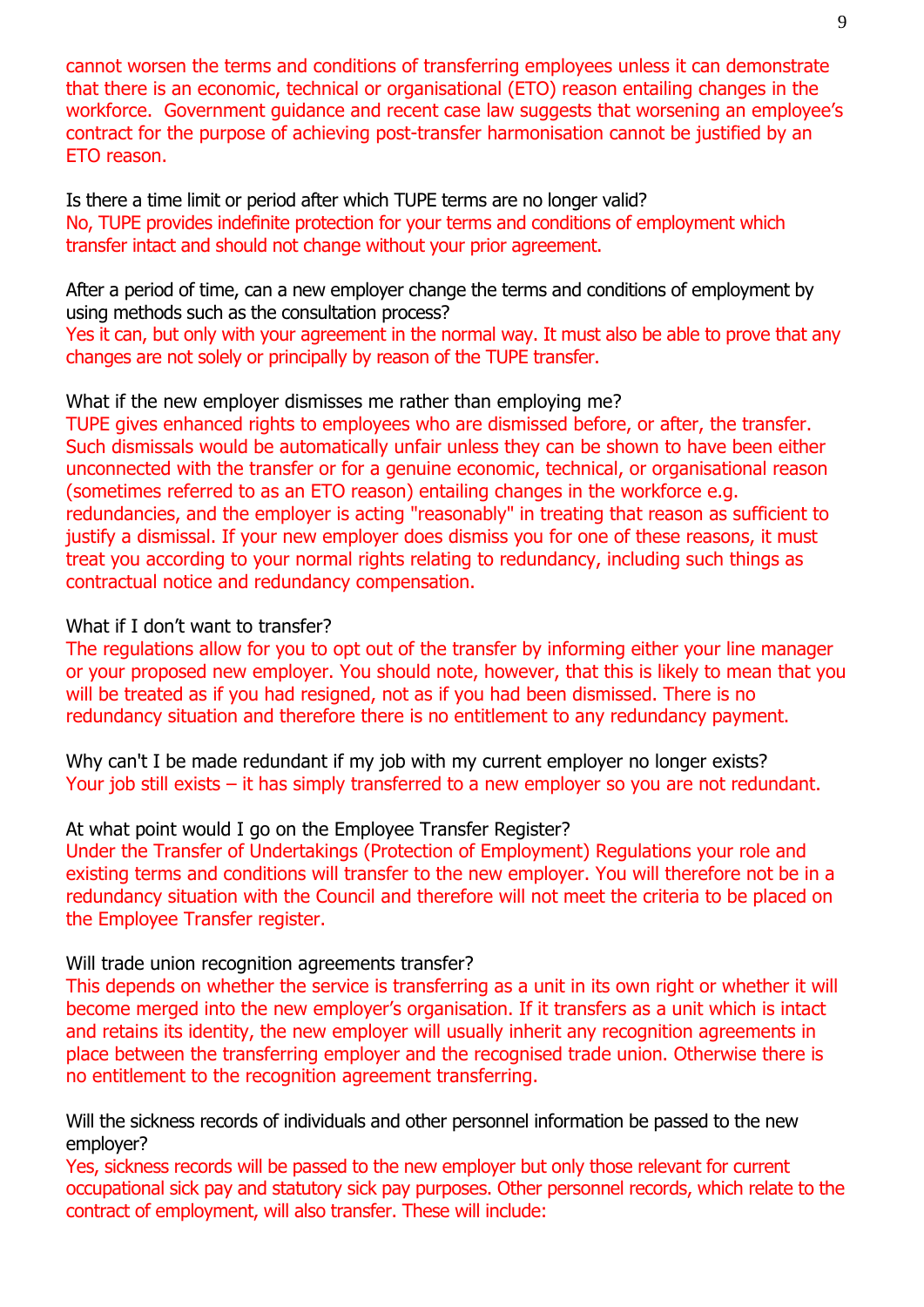cannot worsen the terms and conditions of transferring employees unless it can demonstrate that there is an economic, technical or organisational (ETO) reason entailing changes in the workforce. Government guidance and recent case law suggests that worsening an employee's contract for the purpose of achieving post-transfer harmonisation cannot be justified by an ETO reason.

Is there a time limit or period after which TUPE terms are no longer valid? No, TUPE provides indefinite protection for your terms and conditions of employment which transfer intact and should not change without your prior agreement.

After a period of time, can a new employer change the terms and conditions of employment by using methods such as the consultation process?

Yes it can, but only with your agreement in the normal way. It must also be able to prove that any changes are not solely or principally by reason of the TUPE transfer.

What if the new employer dismisses me rather than employing me?

TUPE gives enhanced rights to employees who are dismissed before, or after, the transfer. Such dismissals would be automatically unfair unless they can be shown to have been either unconnected with the transfer or for a genuine economic, technical, or organisational reason (sometimes referred to as an ETO reason) entailing changes in the workforce e.g. redundancies, and the employer is acting "reasonably" in treating that reason as sufficient to justify a dismissal. If your new employer does dismiss you for one of these reasons, it must treat you according to your normal rights relating to redundancy, including such things as contractual notice and redundancy compensation.

#### What if I don't want to transfer?

The regulations allow for you to opt out of the transfer by informing either your line manager or your proposed new employer. You should note, however, that this is likely to mean that you will be treated as if you had resigned, not as if you had been dismissed. There is no redundancy situation and therefore there is no entitlement to any redundancy payment.

Why can't I be made redundant if my job with my current employer no longer exists? Your job still exists – it has simply transferred to a new employer so you are not redundant.

#### At what point would I go on the Employee Transfer Register?

Under the Transfer of Undertakings (Protection of Employment) Regulations your role and existing terms and conditions will transfer to the new employer. You will therefore not be in a redundancy situation with the Council and therefore will not meet the criteria to be placed on the Employee Transfer register.

#### Will trade union recognition agreements transfer?

This depends on whether the service is transferring as a unit in its own right or whether it will become merged into the new employer's organisation. If it transfers as a unit which is intact and retains its identity, the new employer will usually inherit any recognition agreements in place between the transferring employer and the recognised trade union. Otherwise there is no entitlement to the recognition agreement transferring.

Will the sickness records of individuals and other personnel information be passed to the new employer?

Yes, sickness records will be passed to the new employer but only those relevant for current occupational sick pay and statutory sick pay purposes. Other personnel records, which relate to the contract of employment, will also transfer. These will include: